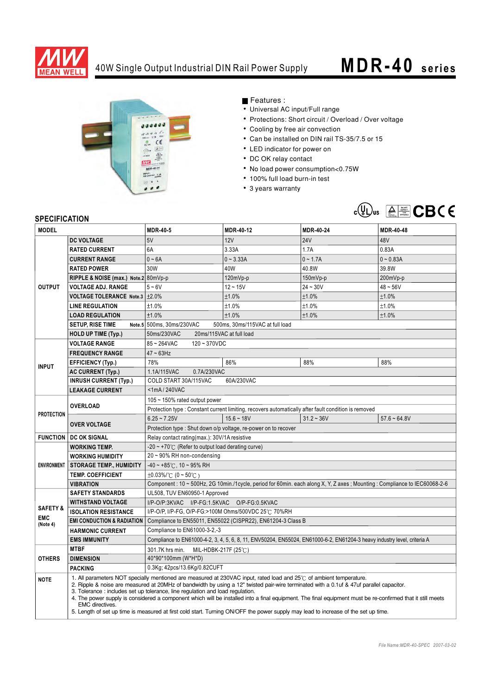

## 40W Single Output Industrial DIN Rail Power Supply **MDR-40** series



Features :

- Universal AC input/Full range
- Protections: Short circuit / Overload / Over voltage
- Cooling by free air convection
- Can be installed on DIN rail TS-35/7.5 or 15
- LED indicator for power on
- DC OK relay contact
- No load power consumption<0.75W
- 100% full load burn-in test
- 3 years warranty



## **SPECIFICATION**

| <b>MODEL</b>                                  |                                                                                                                                                                                                                                                                                                                                                                                                                                                                                                                                                                                                                                                                          | <b>MDR-40-5</b>                                                                                                          | <b>MDR-40-12</b>                                            | <b>MDR-40-24</b> | <b>MDR-40-48</b> |  |
|-----------------------------------------------|--------------------------------------------------------------------------------------------------------------------------------------------------------------------------------------------------------------------------------------------------------------------------------------------------------------------------------------------------------------------------------------------------------------------------------------------------------------------------------------------------------------------------------------------------------------------------------------------------------------------------------------------------------------------------|--------------------------------------------------------------------------------------------------------------------------|-------------------------------------------------------------|------------------|------------------|--|
| <b>OUTPUT</b>                                 | <b>DC VOLTAGE</b>                                                                                                                                                                                                                                                                                                                                                                                                                                                                                                                                                                                                                                                        | 5V                                                                                                                       | 12V                                                         | <b>24V</b>       | 48V              |  |
|                                               | <b>RATED CURRENT</b>                                                                                                                                                                                                                                                                                                                                                                                                                                                                                                                                                                                                                                                     | 6A                                                                                                                       | 3.33A                                                       | 1.7A             | 0.83A            |  |
|                                               | <b>CURRENT RANGE</b>                                                                                                                                                                                                                                                                                                                                                                                                                                                                                                                                                                                                                                                     | $0 - 6A$                                                                                                                 | $0 - 3.33A$                                                 | $0 - 1.7A$       | $0 - 0.83A$      |  |
|                                               | <b>RATED POWER</b>                                                                                                                                                                                                                                                                                                                                                                                                                                                                                                                                                                                                                                                       | 30W                                                                                                                      | 40W                                                         | 40.8W            | 39.8W            |  |
|                                               | RIPPLE & NOISE (max.) Note.2 80mVp-p                                                                                                                                                                                                                                                                                                                                                                                                                                                                                                                                                                                                                                     |                                                                                                                          | 120mVp-p                                                    | 150mVp-p         | 200mVp-p         |  |
|                                               | <b>VOLTAGE ADJ. RANGE</b>                                                                                                                                                                                                                                                                                                                                                                                                                                                                                                                                                                                                                                                | $5 - 6V$                                                                                                                 | $12 - 15V$                                                  | $24 - 30V$       | $48 - 56V$       |  |
|                                               | VOLTAGE TOLERANCE Note.3 ±2.0%                                                                                                                                                                                                                                                                                                                                                                                                                                                                                                                                                                                                                                           |                                                                                                                          | ±1.0%                                                       | ±1.0%            | ±1.0%            |  |
|                                               | <b>LINE REGULATION</b>                                                                                                                                                                                                                                                                                                                                                                                                                                                                                                                                                                                                                                                   | ±1.0%                                                                                                                    | ±1.0%                                                       | ±1.0%            | ±1.0%            |  |
|                                               | <b>LOAD REGULATION</b>                                                                                                                                                                                                                                                                                                                                                                                                                                                                                                                                                                                                                                                   | ±1.0%                                                                                                                    | ±1.0%                                                       | ±1.0%            | ±1.0%            |  |
|                                               | <b>SETUP, RISE TIME</b>                                                                                                                                                                                                                                                                                                                                                                                                                                                                                                                                                                                                                                                  | Note.5 500ms, 30ms/230VAC<br>500ms, 30ms/115VAC at full load                                                             |                                                             |                  |                  |  |
|                                               | <b>HOLD UP TIME (Typ.)</b>                                                                                                                                                                                                                                                                                                                                                                                                                                                                                                                                                                                                                                               | 50ms/230VAC<br>20ms/115VAC at full load                                                                                  |                                                             |                  |                  |  |
|                                               | <b>VOLTAGE RANGE</b>                                                                                                                                                                                                                                                                                                                                                                                                                                                                                                                                                                                                                                                     | 85~264VAC<br>$120 - 370VDC$                                                                                              |                                                             |                  |                  |  |
| <b>INPUT</b>                                  | <b>FREQUENCY RANGE</b>                                                                                                                                                                                                                                                                                                                                                                                                                                                                                                                                                                                                                                                   | $47 \sim 63$ Hz                                                                                                          |                                                             |                  |                  |  |
|                                               | <b>EFFICIENCY (Typ.)</b>                                                                                                                                                                                                                                                                                                                                                                                                                                                                                                                                                                                                                                                 | 78%                                                                                                                      | 86%                                                         | 88%              | 88%              |  |
|                                               | <b>AC CURRENT (Typ.)</b>                                                                                                                                                                                                                                                                                                                                                                                                                                                                                                                                                                                                                                                 | 1.1A/115VAC<br>0.7A/230VAC                                                                                               |                                                             |                  |                  |  |
|                                               | <b>INRUSH CURRENT (Typ.)</b>                                                                                                                                                                                                                                                                                                                                                                                                                                                                                                                                                                                                                                             | COLD START 30A/115VAC<br>60A/230VAC                                                                                      |                                                             |                  |                  |  |
|                                               | <b>LEAKAGE CURRENT</b>                                                                                                                                                                                                                                                                                                                                                                                                                                                                                                                                                                                                                                                   | $<$ 1mA/240VAC                                                                                                           |                                                             |                  |                  |  |
| <b>PROTECTION</b>                             | <b>OVERLOAD</b>                                                                                                                                                                                                                                                                                                                                                                                                                                                                                                                                                                                                                                                          | 105 ~ 150% rated output power                                                                                            |                                                             |                  |                  |  |
|                                               |                                                                                                                                                                                                                                                                                                                                                                                                                                                                                                                                                                                                                                                                          | Protection type : Constant current limiting, recovers automatically after fault condition is removed                     |                                                             |                  |                  |  |
|                                               | <b>OVER VOLTAGE</b>                                                                                                                                                                                                                                                                                                                                                                                                                                                                                                                                                                                                                                                      | $6.25 - 7.25V$                                                                                                           | $15.6 - 18V$                                                | $31.2 - 36V$     | $57.6 - 64.8V$   |  |
|                                               |                                                                                                                                                                                                                                                                                                                                                                                                                                                                                                                                                                                                                                                                          | Protection type: Shut down o/p voltage, re-power on to recover                                                           |                                                             |                  |                  |  |
|                                               | <b>FUNCTION   DC OK SIGNAL</b>                                                                                                                                                                                                                                                                                                                                                                                                                                                                                                                                                                                                                                           | Relay contact rating(max.): 30V/1A resistive                                                                             |                                                             |                  |                  |  |
| <b>ENVIRONMENT</b>                            | <b>WORKING TEMP.</b>                                                                                                                                                                                                                                                                                                                                                                                                                                                                                                                                                                                                                                                     | $-20 \sim +70^{\circ}$ (Refer to output load derating curve)                                                             |                                                             |                  |                  |  |
|                                               | <b>WORKING HUMIDITY</b>                                                                                                                                                                                                                                                                                                                                                                                                                                                                                                                                                                                                                                                  | $20 \sim 90\%$ RH non-condensing                                                                                         |                                                             |                  |                  |  |
|                                               | <b>STORAGE TEMP., HUMIDITY</b>                                                                                                                                                                                                                                                                                                                                                                                                                                                                                                                                                                                                                                           | $-40 \sim +85^{\circ}$ C, 10 ~ 95% RH                                                                                    |                                                             |                  |                  |  |
|                                               | <b>TEMP. COEFFICIENT</b>                                                                                                                                                                                                                                                                                                                                                                                                                                                                                                                                                                                                                                                 | $\pm 0.03\%$ (0 ~ 50°C)                                                                                                  |                                                             |                  |                  |  |
|                                               | <b>VIBRATION</b>                                                                                                                                                                                                                                                                                                                                                                                                                                                                                                                                                                                                                                                         | Component: 10 ~ 500Hz, 2G 10min./1cycle, period for 60min. each along X, Y, Z axes; Mounting: Compliance to IEC60068-2-6 |                                                             |                  |                  |  |
| <b>SAFETY &amp;</b><br><b>EMC</b><br>(Note 4) | <b>SAFETY STANDARDS</b>                                                                                                                                                                                                                                                                                                                                                                                                                                                                                                                                                                                                                                                  | UL508, TUV EN60950-1 Approved                                                                                            |                                                             |                  |                  |  |
|                                               | <b>WITHSTAND VOLTAGE</b>                                                                                                                                                                                                                                                                                                                                                                                                                                                                                                                                                                                                                                                 | I/P-O/P:3KVAC I/P-FG:1.5KVAC<br>O/P-FG:0.5KVAC                                                                           |                                                             |                  |                  |  |
|                                               | <b>ISOLATION RESISTANCE</b>                                                                                                                                                                                                                                                                                                                                                                                                                                                                                                                                                                                                                                              | I/P-O/P, I/P-FG, O/P-FG:>100M Ohms/500VDC 25°C 70%RH                                                                     |                                                             |                  |                  |  |
|                                               | <b>EMI CONDUCTION &amp; RADIATION</b>                                                                                                                                                                                                                                                                                                                                                                                                                                                                                                                                                                                                                                    |                                                                                                                          | Compliance to EN55011, EN55022 (CISPR22), EN61204-3 Class B |                  |                  |  |
|                                               | <b>HARMONIC CURRENT</b>                                                                                                                                                                                                                                                                                                                                                                                                                                                                                                                                                                                                                                                  | Compliance to EN61000-3-2,-3                                                                                             |                                                             |                  |                  |  |
|                                               | <b>EMS IMMUNITY</b>                                                                                                                                                                                                                                                                                                                                                                                                                                                                                                                                                                                                                                                      | Compliance to EN61000-4-2, 3, 4, 5, 6, 8, 11, ENV50204, EN55024, EN61000-6-2, EN61204-3 heavy industry level, criteria A |                                                             |                  |                  |  |
| <b>OTHERS</b>                                 | <b>MTBF</b>                                                                                                                                                                                                                                                                                                                                                                                                                                                                                                                                                                                                                                                              | 301.7K hrs min.<br>MIL-HDBK-217F (25 $°C$ )                                                                              |                                                             |                  |                  |  |
|                                               | <b>DIMENSION</b>                                                                                                                                                                                                                                                                                                                                                                                                                                                                                                                                                                                                                                                         | 40*90*100mm (W*H*D)                                                                                                      |                                                             |                  |                  |  |
|                                               | <b>PACKING</b>                                                                                                                                                                                                                                                                                                                                                                                                                                                                                                                                                                                                                                                           | 0.3Kg; 42pcs/13.6Kg/0.82CUFT                                                                                             |                                                             |                  |                  |  |
| <b>NOTE</b>                                   | 1. All parameters NOT specially mentioned are measured at 230VAC input, rated load and 25°C of ambient temperature.<br>2. Ripple & noise are measured at 20MHz of bandwidth by using a 12" twisted pair-wire terminated with a 0.1uf & 47uf parallel capacitor.<br>3. Tolerance : includes set up tolerance, line regulation and load regulation.<br>4. The power supply is considered a component which will be installed into a final equipment. The final equipment must be re-confirmed that it still meets<br>EMC directives.<br>5. Length of set up time is measured at first cold start. Turning ON/OFF the power supply may lead to increase of the set up time. |                                                                                                                          |                                                             |                  |                  |  |